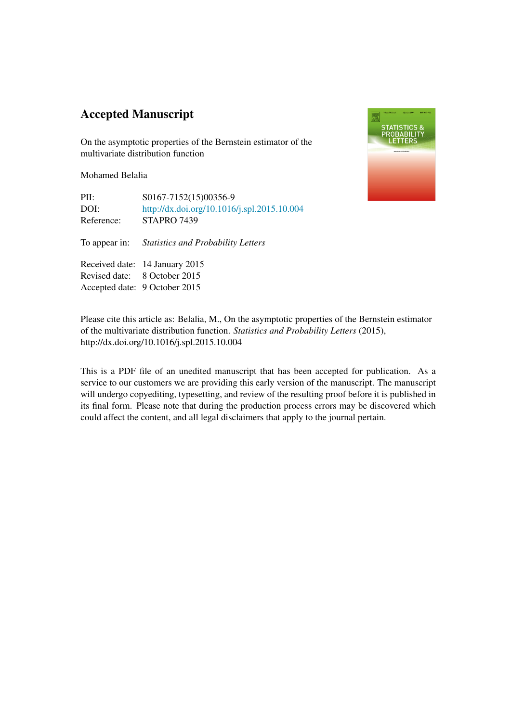### Accepted Manuscript

On the asymptotic properties of the Bernstein estimator of the multivariate distribution function

Mohamed Belalia

| PII:       | S0167-7152(15)00356-9                       |
|------------|---------------------------------------------|
| DOI:       | http://dx.doi.org/10.1016/j.spl.2015.10.004 |
| Reference: | STAPRO 7439                                 |

To appear in: *Statistics and Probability Letters*

Received date: 14 January 2015 Revised date: 8 October 2015 Accepted date: 9 October 2015



Please cite this article as: Belalia, M., On the asymptotic properties of the Bernstein estimator of the multivariate distribution function. *Statistics and Probability Letters* (2015), http://dx.doi.org/10.1016/j.spl.2015.10.004

This is a PDF file of an unedited manuscript that has been accepted for publication. As a service to our customers we are providing this early version of the manuscript. The manuscript will undergo copyediting, typesetting, and review of the resulting proof before it is published in its final form. Please note that during the production process errors may be discovered which could affect the content, and all legal disclaimers that apply to the journal pertain.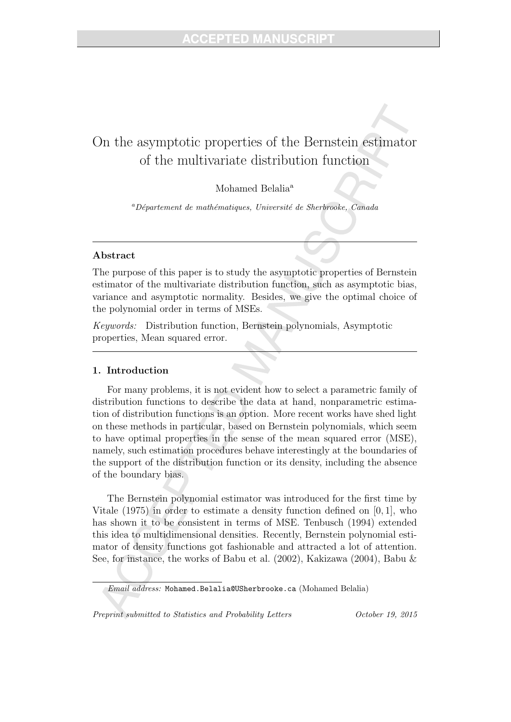## On the asymptotic properties of the Bernstein estimator of the multivariate distribution function

#### Mohamed Belalia<sup>a</sup>

<sup>a</sup>Département de mathématiques, Université de Sherbrooke, Canada

#### Abstract

The purpose of this paper is to study the asymptotic properties of Bernstein estimator of the multivariate distribution function, such as asymptotic bias, variance and asymptotic normality. Besides, we give the optimal choice of the polynomial order in terms of MSEs.

Keywords: Distribution function, Bernstein polynomials, Asymptotic properties, Mean squared error.

#### 1. Introduction

For many problems, it is not evident how to select a parametric family of distribution functions to describe the data at hand, nonparametric estimation of distribution functions is an option. More recent works have shed light on these methods in particular, based on Bernstein polynomials, which seem to have optimal properties in the sense of the mean squared error (MSE), namely, such estimation procedures behave interestingly at the boundaries of the support of the distribution function or its density, including the absence of the boundary bias.

The Bernstein polynomial estimator was introduced for the first time by Vitale (1975) in order to estimate a density function defined on [0, 1], who has shown it to be consistent in terms of MSE. Tenbusch (1994) extended this idea to multidimensional densities. Recently, Bernstein polynomial estimator of density functions got fashionable and attracted a lot of attention. See, for instance, the works of Babu et al. (2002), Kakizawa (2004), Babu &

Preprint submitted to Statistics and Probability Letters  $October\ 19, \ 2015$ 

Email address: Mohamed.Belalia@USherbrooke.ca (Mohamed Belalia)